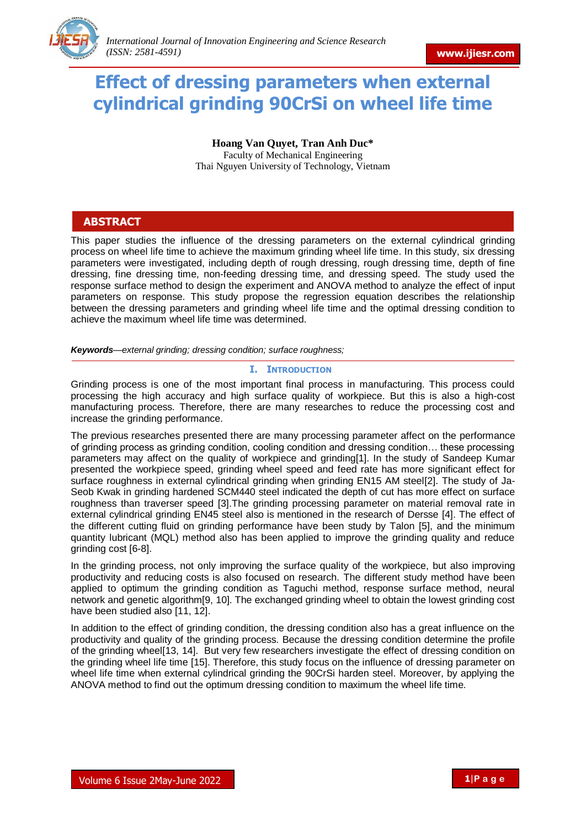

# **Effect of dressing parameters when external cylindrical grinding 90CrSi on wheel life time**

**Hoang Van Quyet, Tran Anh Duc\*** Faculty of Mechanical Engineering Thai Nguyen University of Technology, Vietnam

# **ABSTRACT**

This paper studies the influence of the dressing parameters on the external cylindrical grinding process on wheel life time to achieve the maximum grinding wheel life time. In this study, six dressing parameters were investigated, including depth of rough dressing, rough dressing time, depth of fine dressing, fine dressing time, non-feeding dressing time, and dressing speed. The study used the response surface method to design the experiment and ANOVA method to analyze the effect of input parameters on response. This study propose the regression equation describes the relationship between the dressing parameters and grinding wheel life time and the optimal dressing condition to achieve the maximum wheel life time was determined.

*Keywords—external grinding; dressing condition; surface roughness;*

# **I. INTRODUCTION**

Grinding process is one of the most important final process in manufacturing. This process could processing the high accuracy and high surface quality of workpiece. But this is also a high-cost manufacturing process. Therefore, there are many researches to reduce the processing cost and increase the grinding performance.

The previous researches presented there are many processing parameter affect on the performance of grinding process as grinding condition, cooling condition and dressing condition… these processing parameters may affect on the quality of workpiece and grinding[1]. In the study of Sandeep Kumar presented the workpiece speed, grinding wheel speed and feed rate has more significant effect for surface roughness in external cylindrical grinding when grinding EN15 AM steel[2]. The study of Ja-Seob Kwak in grinding hardened SCM440 steel indicated the depth of cut has more effect on surface roughness than traverser speed [3].The grinding processing parameter on material removal rate in external cylindrical grinding EN45 steel also is mentioned in the research of Dersse [4]. The effect of the different cutting fluid on grinding performance have been study by Talon [5], and the minimum quantity lubricant (MQL) method also has been applied to improve the grinding quality and reduce grinding cost [6-8].

In the grinding process, not only improving the surface quality of the workpiece, but also improving productivity and reducing costs is also focused on research. The different study method have been applied to optimum the grinding condition as Taguchi method, response surface method, neural network and genetic algorithm[9, 10]. The exchanged grinding wheel to obtain the lowest grinding cost have been studied also [11, 12].

In addition to the effect of grinding condition, the dressing condition also has a great influence on the productivity and quality of the grinding process. Because the dressing condition determine the profile of the grinding wheel[13, 14]. But very few researchers investigate the effect of dressing condition on the grinding wheel life time [15]. Therefore, this study focus on the influence of dressing parameter on wheel life time when external cylindrical grinding the 90CrSi harden steel. Moreover, by applying the ANOVA method to find out the optimum dressing condition to maximum the wheel life time.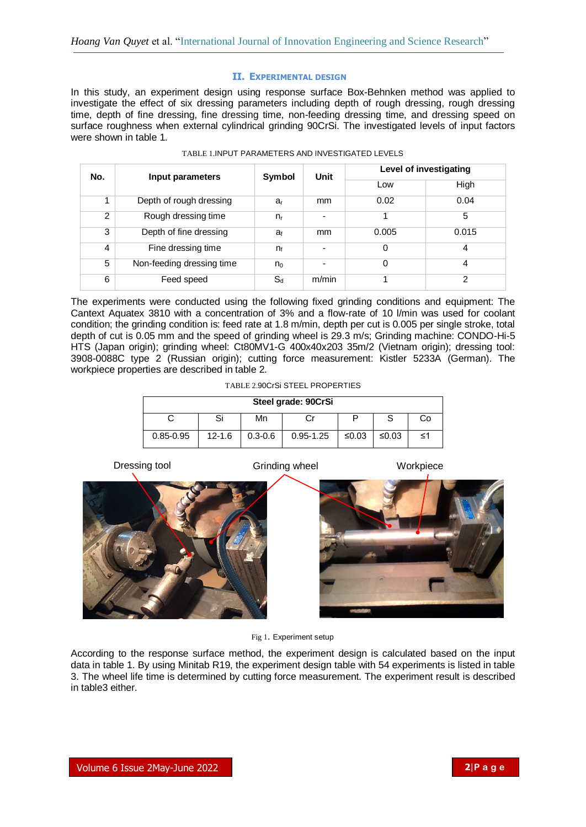# **II. EXPERIMENTAL DESIGN**

In this study, an experiment design using response surface Box-Behnken method was applied to investigate the effect of six dressing parameters including depth of rough dressing, rough dressing time, depth of fine dressing, fine dressing time, non-feeding dressing time, and dressing speed on surface roughness when external cylindrical grinding 90CrSi. The investigated levels of input factors were shown in table 1.

| No. | Input parameters          | <b>Symbol</b>  | Unit  | Level of investigating |       |  |
|-----|---------------------------|----------------|-------|------------------------|-------|--|
|     |                           |                |       | Low                    | High  |  |
|     | Depth of rough dressing   | $a_{r}$        | mm    | 0.02                   | 0.04  |  |
| 2   | Rough dressing time       | $n_{r}$        |       |                        | 5     |  |
| 3   | Depth of fine dressing    | a <sub>f</sub> | mm    | 0.005                  | 0.015 |  |
| 4   | Fine dressing time        | $n_{f}$        |       | 0                      | 4     |  |
| 5   | Non-feeding dressing time | $n_0$          |       | 0                      | 4     |  |
| 6   | Feed speed                | $S_d$          | m/min |                        | 2     |  |

The experiments were conducted using the following fixed grinding conditions and equipment: The Cantext Aquatex 3810 with a concentration of 3% and a flow-rate of 10 l/min was used for coolant condition; the grinding condition is: feed rate at 1.8 m/min, depth per cut is 0.005 per single stroke, total depth of cut is 0.05 mm and the speed of grinding wheel is 29.3 m/s; Grinding machine: CONDO-Hi-5 HTS (Japan origin); grinding wheel: Ct80MV1-G 400x40x203 35m/2 (Vietnam origin); dressing tool: 3908-0088C type 2 (Russian origin); cutting force measurement: Kistler 5233A (German). The workpiece properties are described in table 2.

TABLE 2.90CrSi STEEL PROPERTIES

| Steel grade: 90CrSi |            |             |               |       |         |    |  |  |  |  |
|---------------------|------------|-------------|---------------|-------|---------|----|--|--|--|--|
|                     |            | Mn          |               |       |         | Co |  |  |  |  |
| $0.85 - 0.95$       | $12 - 1.6$ | $0.3 - 0.6$ | $0.95 - 1.25$ | ≤0.03 | $≤0.03$ | ≤1 |  |  |  |  |

Dressing tool **Grinding wheel** Workpiece





Fig 1. Experiment setup

According to the response surface method, the experiment design is calculated based on the input data in table 1. By using Minitab R19, the experiment design table with 54 experiments is listed in table 3. The wheel life time is determined by cutting force measurement. The experiment result is described in table3 either.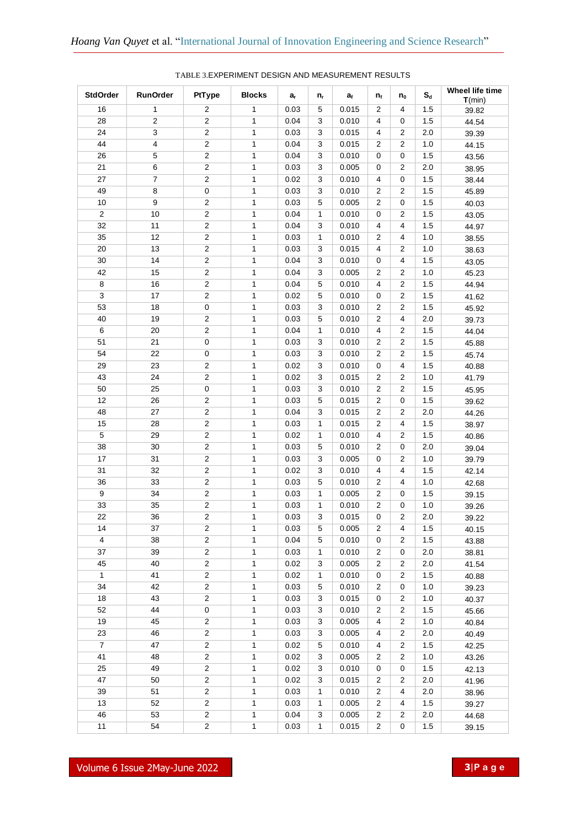| <b>StdOrder</b> | <b>RunOrder</b> | PtType                  | <b>Blocks</b>  | $a_{r}$      | n,           | $a_{f}$        | $n_{f}$                 | $n_0$                   | $\mathbf{S}_{\mathbf{d}}$ | Wheel life time<br>T(min) |
|-----------------|-----------------|-------------------------|----------------|--------------|--------------|----------------|-------------------------|-------------------------|---------------------------|---------------------------|
| 16              | $\mathbf{1}$    | 2                       | $\mathbf{1}$   | 0.03         | 5            | 0.015          | $\overline{2}$          | 4                       | 1.5                       | 39.82                     |
| 28              | $\overline{2}$  | $\overline{2}$          | $\mathbf{1}$   | 0.04         | 3            | 0.010          | 4                       | 0                       | 1.5                       | 44.54                     |
| 24              | 3               | $\overline{2}$          | $\mathbf{1}$   | 0.03         | 3            | 0.015          | 4                       | $\overline{2}$          | 2.0                       | 39.39                     |
| 44              | $\overline{4}$  | $\overline{c}$          | $\mathbf{1}$   | 0.04         | 3            | 0.015          | $\overline{2}$          | $\overline{2}$          | 1.0                       | 44.15                     |
| 26              | $\sqrt{5}$      | $\overline{c}$          | $\mathbf{1}$   | 0.04         | 3            | 0.010          | $\pmb{0}$               | $\pmb{0}$               | 1.5                       | 43.56                     |
| 21              | 6               | $\overline{2}$          | $\mathbf{1}$   | 0.03         | 3            | 0.005          | $\pmb{0}$               | 2                       | 2.0                       | 38.95                     |
| 27              | $\overline{7}$  | $\overline{c}$          | $\mathbf{1}$   | 0.02         | 3            | 0.010          | $\overline{\mathbf{4}}$ | $\pmb{0}$               | 1.5                       | 38.44                     |
| 49              | 8               | $\pmb{0}$               | $\mathbf{1}$   | 0.03         | 3            | 0.010          | $\overline{2}$          | $\overline{2}$          | 1.5                       | 45.89                     |
| 10              | 9               | $\overline{2}$          | 1              | 0.03         | 5            | 0.005          | $\overline{2}$          | $\mathbf 0$             | 1.5                       | 40.03                     |
| $\overline{2}$  | 10              | $\overline{2}$          | $\mathbf{1}$   | 0.04         | 1            | 0.010          | $\pmb{0}$               | 2                       | 1.5                       | 43.05                     |
| 32              | 11              | $\overline{2}$          | 1              | 0.04         | 3            | 0.010          | 4                       | 4                       | 1.5                       | 44.97                     |
| 35              | 12              | $\overline{2}$          | $\mathbf{1}$   | 0.03         | 1            | 0.010          | $\overline{2}$          | 4                       | 1.0                       | 38.55                     |
| 20              | 13              | $\overline{c}$          | $\mathbf{1}$   | 0.03         | 3            | 0.015          | 4                       | 2                       | 1.0                       | 38.63                     |
| 30              | 14              | $\overline{2}$          | $\mathbf{1}$   | 0.04         | 3            | 0.010          | 0                       | 4                       | 1.5                       | 43.05                     |
| 42              | 15              | $\overline{2}$          | $\mathbf{1}$   | 0.04         | 3            | 0.005          | $\overline{2}$          | 2                       | 1.0                       | 45.23                     |
| 8               | 16              | $\overline{2}$          | $\mathbf{1}$   | 0.04         | 5            | 0.010          | 4                       | 2                       | 1.5                       | 44.94                     |
| 3               | 17              | $\overline{2}$          | $\mathbf{1}$   | 0.02         | 5            | 0.010          | 0                       | 2                       | 1.5                       | 41.62                     |
| 53              | 18              | $\pmb{0}$               | $\mathbf{1}$   | 0.03         | 3            | 0.010          | $\overline{2}$          | 2                       | 1.5                       | 45.92                     |
| 40              | 19              | $\overline{c}$          | 1              | 0.03         | 5            | 0.010          | $\boldsymbol{2}$        | 4                       | 2.0                       |                           |
| 6               | 20              | $\overline{c}$          | $\mathbf{1}$   | 0.04         | 1            | 0.010          | $\overline{\mathbf{4}}$ | 2                       | 1.5                       | 39.73<br>44.04            |
| 51              | 21              | $\pmb{0}$               | $\mathbf{1}$   | 0.03         | 3            | 0.010          | $\boldsymbol{2}$        | $\overline{2}$          | 1.5                       |                           |
| 54              | 22              | $\pmb{0}$               | 1              | 0.03         | 3            | 0.010          | $\overline{2}$          | $\overline{2}$          | 1.5                       | 45.88                     |
| 29              | 23              | $\overline{2}$          | $\mathbf{1}$   | 0.02         | 3            | 0.010          | $\pmb{0}$               | 4                       | 1.5                       | 45.74                     |
| 43              | 24              | $\overline{2}$          | $\mathbf{1}$   |              | 3            |                | $\overline{2}$          | $\overline{2}$          | 1.0                       | 40.88                     |
| 50              | 25              | $\mathsf 0$             | $\mathbf{1}$   | 0.02<br>0.03 | 3            | 0.015<br>0.010 | $\overline{2}$          | $\overline{2}$          | 1.5                       | 41.79                     |
| 12              | 26              | $\overline{2}$          |                |              |              |                | $\overline{2}$          | $\mathbf 0$             | 1.5                       | 45.95                     |
|                 | 27              | $\overline{2}$          | $\mathbf{1}$   | 0.03         | 5            | 0.015          | $\overline{2}$          |                         | 2.0                       | 39.62                     |
| 48              |                 |                         | $\mathbf{1}$   | 0.04         | 3            | 0.015          |                         | 2                       |                           | 44.26                     |
| 15              | 28              | $\overline{c}$          | $\mathbf{1}$   | 0.03         | 1            | 0.015          | $\overline{2}$          | 4                       | 1.5                       | 38.97                     |
| 5               | 29              | $\overline{c}$          | $\mathbf{1}$   | 0.02         | 1            | 0.010          | $\overline{4}$          | 2                       | 1.5                       | 40.86                     |
| 38              | 30              | $\overline{2}$          | 1              | 0.03         | 5            | 0.010          | $\overline{2}$          | 0                       | 2.0                       | 39.04                     |
| 17              | 31              | $\overline{2}$          | 1              | 0.03         | 3            | 0.005          | 0                       | 2                       | 1.0                       | 39.79                     |
| 31              | 32              | $\overline{2}$          | 1              | 0.02         | 3            | 0.010          | 4                       | 4                       | 1.5                       | 42.14                     |
| 36              | 33              | $\overline{2}$          | 1              | 0.03         | 5            | 0.010          | $\overline{2}$          | 4                       | 1.0                       | 42.68                     |
| 9               | 34              | $\overline{2}$          | 1              | 0.03         | 1            | 0.005          | $\overline{2}$          | 0                       | 1.5                       | 39.15                     |
| 33              | 35              | $\boldsymbol{2}$        | 1              | 0.03         | $\mathbf{1}$ | 0.010          | $\overline{2}$          | 0                       | 1.0                       | 39.26                     |
| 22              | 36              | $\overline{2}$          | $\mathbf{1}$   | 0.03         | 3            | 0.015          | $\pmb{0}$               | 2                       | 2.0                       | 39.22                     |
| 14              | 37              | 2                       | $\mathbf{1}$   | 0.03         | 5            | 0.005          | 2                       | 4                       | 1.5                       | 40.15                     |
| $\overline{4}$  | 38              | $\overline{2}$          | $\mathbf{1}$   | 0.04         | 5            | 0.010          | 0                       | 2                       | 1.5                       | 43.88                     |
| 37              | 39              | $\overline{c}$          | $\mathbf{1}$   | 0.03         | $\mathbf{1}$ | 0.010          | $\overline{c}$          | $\pmb{0}$               | 2.0                       | 38.81                     |
| 45              | 40              | $\overline{2}$          | $\mathbf{1}$   | 0.02         | 3            | 0.005          | $\overline{c}$          | $\overline{\mathbf{c}}$ | 2.0                       | 41.54                     |
| $\mathbf{1}$    | 41              | $\overline{c}$          | $\mathbf{1}$   | 0.02         | $\mathbf{1}$ | 0.010          | $\pmb{0}$               | $\boldsymbol{2}$        | $1.5\,$                   | 40.88                     |
| 34              | 42              | $\overline{c}$          | $\mathbf{1}$   | 0.03         | 5            | 0.010          | $\overline{c}$          | $\pmb{0}$               | 1.0                       | 39.23                     |
| 18              | 43              | $\overline{c}$          | $\mathbf{1}$   | 0.03         | 3            | 0.015          | $\pmb{0}$               | $\boldsymbol{2}$        | 1.0                       | 40.37                     |
| 52              | 44              | $\pmb{0}$               | $\mathbf{1}$   | 0.03         | 3            | 0.010          | 2                       | $\boldsymbol{2}$        | 1.5                       | 45.66                     |
| 19              | 45              | $\overline{c}$          | $\mathbf{1}$   | 0.03         | 3            | 0.005          | 4                       | $\boldsymbol{2}$        | 1.0                       | 40.84                     |
| 23              | 46              | $\overline{\mathbf{c}}$ | $\overline{1}$ | 0.03         | 3            | 0.005          | 4                       | $\boldsymbol{2}$        | 2.0                       | 40.49                     |
| $\overline{7}$  | 47              | $\overline{c}$          | $\mathbf{1}$   | 0.02         | 5            | 0.010          | 4                       | $\boldsymbol{2}$        | 1.5                       | 42.25                     |
| 41              | 48              | $\overline{2}$          | $\overline{1}$ | 0.02         | 3            | 0.005          | $\overline{c}$          | $\overline{\mathbf{c}}$ | 1.0                       | 43.26                     |
| 25              | 49              | $\overline{c}$          | $\mathbf{1}$   | 0.02         | 3            | 0.010          | 0                       | $\pmb{0}$               | 1.5                       | 42.13                     |
| 47              | 50              | $\overline{c}$          | $\mathbf{1}$   | 0.02         | 3            | 0.015          | $\overline{c}$          | $\overline{\mathbf{c}}$ | 2.0                       | 41.96                     |
| 39              | 51              | $\overline{2}$          | $\mathbf{1}$   | 0.03         | 1            | 0.010          | $\overline{c}$          | 4                       | 2.0                       | 38.96                     |
| 13              | 52              | $\overline{c}$          | 1              | 0.03         | 1            | 0.005          | $\overline{c}$          | 4                       | 1.5                       | 39.27                     |
| 46              | 53              | $\overline{2}$          | $\mathbf{1}$   | 0.04         | 3            | 0.005          | $\overline{c}$          | $\overline{\mathbf{c}}$ | 2.0                       | 44.68                     |
| 11              | 54              | $\overline{2}$          | $\mathbf{1}$   | 0.03         | $\mathbf{1}$ | 0.015          | $\overline{c}$          | $\pmb{0}$               | 1.5                       | 39.15                     |

## TABLE 3.EXPERIMENT DESIGN AND MEASUREMENT RESULTS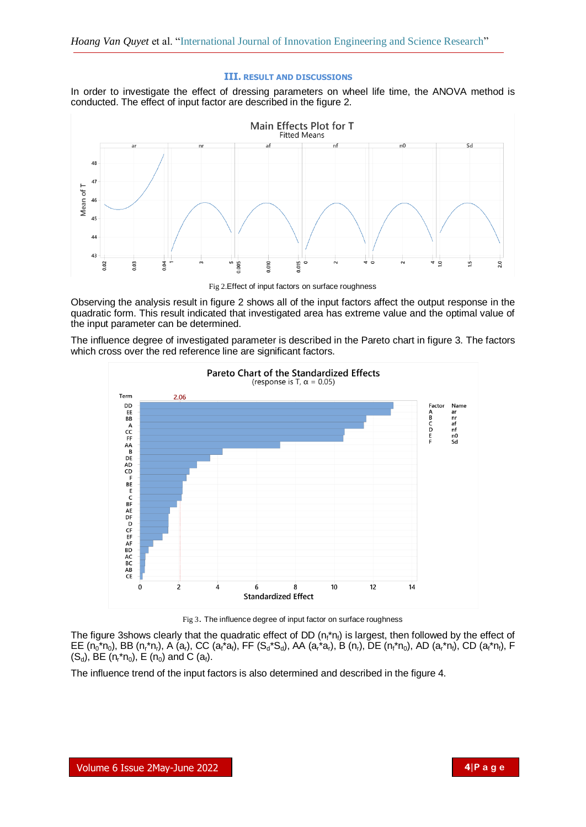#### **III. RESULT AND DISCUSSIONS**

In order to investigate the effect of dressing parameters on wheel life time, the ANOVA method is conducted. The effect of input factor are described in the figure 2.



Fig 2.Effect of input factors on surface roughness

Observing the analysis result in figure 2 shows all of the input factors affect the output response in the quadratic form. This result indicated that investigated area has extreme value and the optimal value of the input parameter can be determined.

The influence degree of investigated parameter is described in the Pareto chart in figure 3. The factors which cross over the red reference line are significant factors.



Fig 3. The influence degree of input factor on surface roughness

The figure 3shows clearly that the quadratic effect of DD ( $n_f^*n_f$ ) is largest, then followed by the effect of  $EE (n_0^*n_0)$ , BB (n<sub>r</sub>\*n<sub>r</sub>), A (a<sub>r</sub>), CC (a<sub>f</sub>\*a<sub>t</sub>), FF (S<sub>d</sub>\*S<sub>d</sub>), AA (a<sub>r</sub>\*a<sub>r</sub>), B (n<sub>r</sub>), DE (n<sub>f</sub>\*n<sub>0</sub>), AD (a<sub>r</sub>\*n<sub>f</sub>), CD (a<sub>f</sub>\*n<sub>f</sub>), F  $(S_d)$ , BE  $(n_r * n_0)$ , E  $(n_0)$  and C  $(a_f)$ .

The influence trend of the input factors is also determined and described in the figure 4.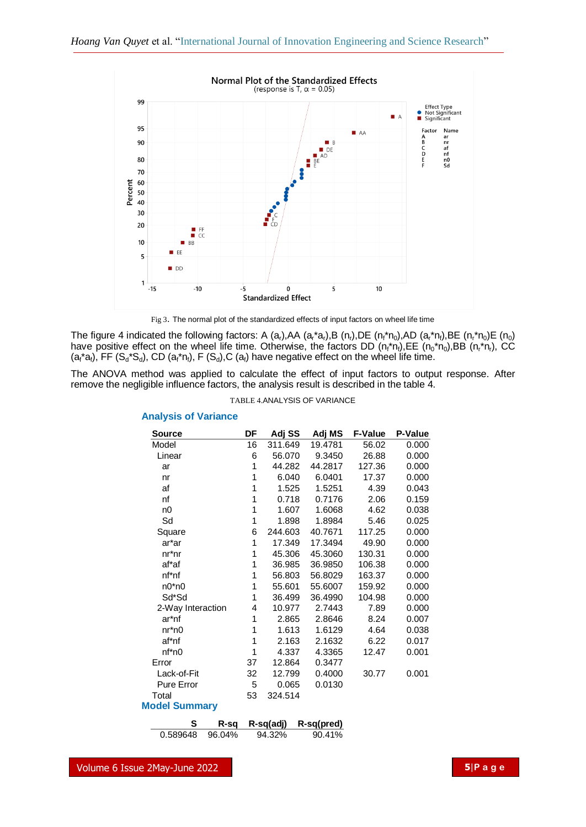

Fig 3. The normal plot of the standardized effects of input factors on wheel life time

The figure 4 indicated the following factors: A (a<sub>r</sub>),AA (a<sub>r</sub>\*a<sub>r</sub>),B (n<sub>r</sub>),DE (n<sub>r</sub>\*n<sub>0</sub>),AD (a<sub>r</sub>\*n<sub>f</sub>),BE (n<sub>r</sub>\*n<sub>0</sub>)E (n<sub>0</sub>) have positive effect on the wheel life time. Otherwise, the factors DD  $(n_f \nmid n_f)$ , EE  $(n_0 \nmid n_0)$ , BB  $(n_f \nmid n_f)$ , CC  $(a_i^*a_i)$ , FF  $(S_d^*S_d)$ , CD  $(a_i^*n_i)$ , F  $(S_d)$ , C  $(a_i)$  have negative effect on the wheel life time.

The ANOVA method was applied to calculate the effect of input factors to output response. After remove the negligible influence factors, the analysis result is described in the table 4.

| <b>TABLE 4.ANALYSIS OF VARIANCE</b> |  |  |  |  |
|-------------------------------------|--|--|--|--|
|-------------------------------------|--|--|--|--|

| DF                   | Adj SS  | Adj MS    | <b>F-Value</b> | <b>P-Value</b> |  |  |  |  |
|----------------------|---------|-----------|----------------|----------------|--|--|--|--|
| 16                   | 311.649 | 19.4781   | 56.02          | 0.000          |  |  |  |  |
| 6                    | 56.070  | 9.3450    | 26.88          | 0.000          |  |  |  |  |
| 1                    | 44.282  | 44.2817   | 127.36         | 0.000          |  |  |  |  |
| 1                    | 6.040   | 6.0401    | 17.37          | 0.000          |  |  |  |  |
| 1                    | 1.525   | 1.5251    | 4.39           | 0.043          |  |  |  |  |
| 1                    | 0.718   | 0.7176    | 2.06           | 0.159          |  |  |  |  |
| 1                    | 1.607   | 1.6068    | 4.62           | 0.038          |  |  |  |  |
| 1                    | 1.898   | 1.8984    | 5.46           | 0.025          |  |  |  |  |
| 6                    | 244.603 | 40.7671   | 117.25         | 0.000          |  |  |  |  |
| 1                    | 17.349  | 17.3494   | 49.90          | 0.000          |  |  |  |  |
| 1                    | 45.306  | 45.3060   | 130.31         | 0.000          |  |  |  |  |
| 1                    | 36.985  | 36.9850   | 106.38         | 0.000          |  |  |  |  |
| 1                    | 56.803  | 56.8029   | 163.37         | 0.000          |  |  |  |  |
| 1                    | 55.601  | 55.6007   | 159.92         | 0.000          |  |  |  |  |
| 1                    | 36.499  | 36.4990   | 104.98         | 0.000          |  |  |  |  |
| 4                    | 10.977  | 2.7443    | 7.89           | 0.000          |  |  |  |  |
| 1                    | 2.865   | 2.8646    | 8.24           | 0.007          |  |  |  |  |
| 1                    | 1.613   | 1.6129    | 4.64           | 0.038          |  |  |  |  |
| 1                    | 2.163   | 2.1632    | 6.22           | 0.017          |  |  |  |  |
| 1                    | 4.337   | 4.3365    | 12.47          | 0.001          |  |  |  |  |
| 37                   | 12.864  | 0.3477    |                |                |  |  |  |  |
| 32                   | 12.799  | 0.4000    | 30.77          | 0.001          |  |  |  |  |
| 5                    | 0.065   | 0.0130    |                |                |  |  |  |  |
| 53                   | 324.514 |           |                |                |  |  |  |  |
| <b>Model Summary</b> |         |           |                |                |  |  |  |  |
|                      |         |           |                |                |  |  |  |  |
|                      |         | R-sq(adj) | R-sq(pred)     |                |  |  |  |  |

#### **Analysis of Variance**

0.589648 96.04% 94.32% 90.41%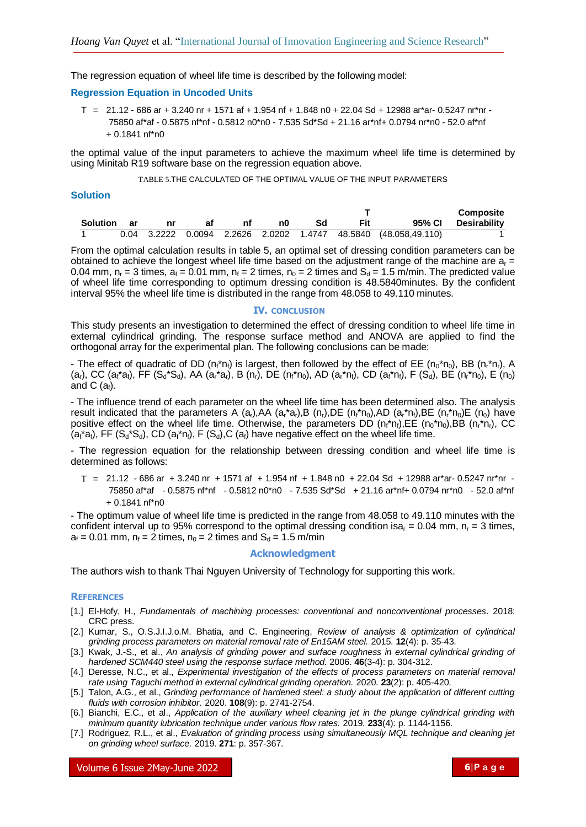The regression equation of wheel life time is described by the following model:

# **Regression Equation in Uncoded Units**

T = 21.12 - 686 ar + 3.240 nr + 1571 af + 1.954 nf + 1.848 n0 + 22.04 Sd + 12988 ar\*ar- 0.5247 nr\*nr - 75850 af\*af - 0.5875 nf\*nf - 0.5812 n0\*n0 - 7.535 Sd\*Sd + 21.16 ar\*nf+ 0.0794 nr\*n0 - 52.0 af\*nf + 0.1841 nf\*n0

the optimal value of the input parameters to achieve the maximum wheel life time is determined by using Minitab R19 software base on the regression equation above.

TABLE 5.THE CALCULATED OF THE OPTIMAL VALUE OF THE INPUT PARAMETERS

### **Solution**

|          |       |    |    |    |            |                                                                     | <b>Composite</b> |
|----------|-------|----|----|----|------------|---------------------------------------------------------------------|------------------|
| Solution | ar ar | яt | n0 | Sd | <b>Fit</b> | 95% CI                                                              | Desirabilitv     |
|          |       |    |    |    |            | $0.04$ 3.2222 $0.0094$ 2.2626 2.0202 1.4747 48.5840 (48.058,49.110) |                  |

From the optimal calculation results in table 5, an optimal set of dressing condition parameters can be obtained to achieve the longest wheel life time based on the adjustment range of the machine are  $a<sub>r</sub> =$ 0.04 mm,  $n_r = 3$  times,  $a_f = 0.01$  mm,  $n_f = 2$  times,  $n_0 = 2$  times and  $S_d = 1.5$  m/min. The predicted value of wheel life time corresponding to optimum dressing condition is 48.5840minutes. By the confident interval 95% the wheel life time is distributed in the range from 48.058 to 49.110 minutes.

#### **IV. CONCLUSION**

This study presents an investigation to determined the effect of dressing condition to wheel life time in external cylindrical grinding. The response surface method and ANOVA are applied to find the orthogonal array for the experimental plan. The following conclusions can be made:

- The effect of quadratic of DD ( $n_f * n_f$ ) is largest, then followed by the effect of EE ( $n_0 * n_0$ ), BB ( $n_r * n_f$ ), A (a<sub>r</sub>), CC (a<sub>f</sub>\*a<sub>f</sub>), FF (S<sub>d</sub>\*S<sub>d</sub>), AA (a<sub>r</sub>\*a<sub>r</sub>), B (n<sub>r</sub>), DE (n<sub>f</sub>\*n<sub>0</sub>), AD (a<sub>r</sub>\*n<sub>f</sub>), CD (a<sub>f</sub>\*n<sub>f</sub>), F (S<sub>d</sub>), BE (n<sub>r</sub>\*n<sub>0</sub>), E (n<sub>0</sub>) and C  $(a_i)$ .

- The influence trend of each parameter on the wheel life time has been determined also. The analysis result indicated that the parameters A  $(a_1)$ , AA  $(a_1^*a_1)$ , B  $(n_1)$ , DE  $(n_1^*n_0)$ , AD  $(a_1^*n_1)$ , BE  $(n_1^*n_0)E$   $(n_0)$  have positive effect on the wheel life time. Otherwise, the parameters DD  $(n_f \nmid n_f)$ ,EE  $(n_0 \nmid n_f)$ ,BB  $(n_f \nmid n_f)$ , CC  $(a_i^*a_i)$ , FF  $(S_d^*S_d)$ , CD  $(a_i^*n_i)$ , F  $(S_d)$ , C  $(a_i)$  have negative effect on the wheel life time.

- The regression equation for the relationship between dressing condition and wheel life time is determined as follows:

T = 21.12 - 686 ar + 3.240 nr + 1571 af + 1.954 nf + 1.848 n0 + 22.04 Sd + 12988 ar\*ar- 0.5247 nr\*nr - 75850 af\*af - 0.5875 nf\*nf - 0.5812 n0\*n0 - 7.535 Sd\*Sd + 21.16 ar\*nf+ 0.0794 nr\*n0 - 52.0 af\*nf  $+ 0.1841$  nf\*n $0$ 

- The optimum value of wheel life time is predicted in the range from 48.058 to 49.110 minutes with the confident interval up to 95% correspond to the optimal dressing condition isa<sub>r</sub> = 0.04 mm,  $n_r = 3$  times,  $a<sub>f</sub> = 0.01$  mm,  $n<sub>f</sub> = 2$  times,  $n<sub>0</sub> = 2$  times and  $S<sub>d</sub> = 1.5$  m/min

# **Acknowledgment**

The authors wish to thank Thai Nguyen University of Technology for supporting this work.

#### **REFERENCES**

- [1.] El-Hofy, H., *Fundamentals of machining processes: conventional and nonconventional processes*. 2018: CRC press.
- [2.] Kumar, S., O.S.J.I.J.o.M. Bhatia, and C. Engineering, *Review of analysis & optimization of cylindrical grinding process parameters on material removal rate of En15AM steel.* 2015. **12**(4): p. 35-43.
- [3.] Kwak, J.-S., et al., *An analysis of grinding power and surface roughness in external cylindrical grinding of hardened SCM440 steel using the response surface method.* 2006. **46**(3-4): p. 304-312.
- [4.] Deresse, N.C., et al., *Experimental investigation of the effects of process parameters on material removal rate using Taguchi method in external cylindrical grinding operation.* 2020. **23**(2): p. 405-420.
- [5.] Talon, A.G., et al., *Grinding performance of hardened steel: a study about the application of different cutting fluids with corrosion inhibitor.* 2020. **108**(9): p. 2741-2754.
- [6.] Bianchi, E.C., et al., *Application of the auxiliary wheel cleaning jet in the plunge cylindrical grinding with minimum quantity lubrication technique under various flow rates.* 2019. **233**(4): p. 1144-1156.
- [7.] Rodriguez, R.L., et al., *Evaluation of grinding process using simultaneously MQL technique and cleaning jet on grinding wheel surface.* 2019. **271**: p. 357-367.

Volume 6 Issue 2May-June 2022 **6**|**P a g e**